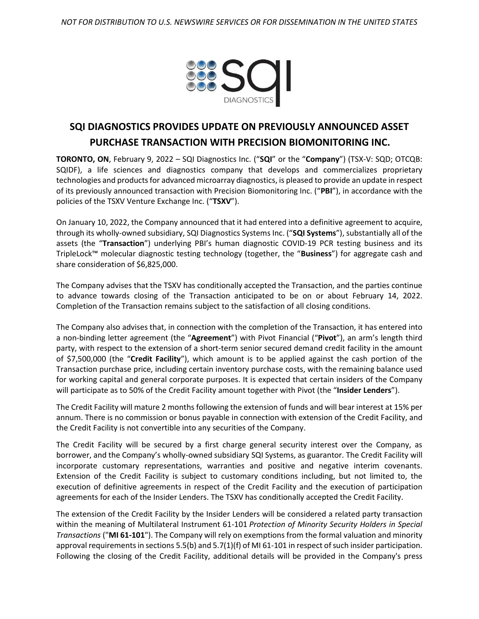

## **SQI DIAGNOSTICS PROVIDES UPDATE ON PREVIOUSLY ANNOUNCED ASSET PURCHASE TRANSACTION WITH PRECISION BIOMONITORING INC.**

**TORONTO, ON**, February 9, 2022 – SQI Diagnostics Inc. ("**SQI**" or the "**Company**") (TSX-V: SQD; OTCQB: SQIDF), a life sciences and diagnostics company that develops and commercializes proprietary technologies and products for advanced microarray diagnostics, is pleased to provide an update in respect of its previously announced transaction with Precision Biomonitoring Inc. ("**PBI**"), in accordance with the policies of the TSXV Venture Exchange Inc. ("**TSXV**").

On January 10, 2022, the Company announced that it had entered into a definitive agreement to acquire, through its wholly-owned subsidiary, SQI Diagnostics Systems Inc. ("**SQI Systems**"), substantially all of the assets (the "**Transaction**") underlying PBI's human diagnostic COVID-19 PCR testing business and its TripleLock™ molecular diagnostic testing technology (together, the "**Business**") for aggregate cash and share consideration of \$6,825,000.

The Company advises that the TSXV has conditionally accepted the Transaction, and the parties continue to advance towards closing of the Transaction anticipated to be on or about February 14, 2022. Completion of the Transaction remains subject to the satisfaction of all closing conditions.

The Company also advises that, in connection with the completion of the Transaction, it has entered into a non-binding letter agreement (the "**Agreement**") with Pivot Financial ("**Pivot**"), an arm's length third party, with respect to the extension of a short-term senior secured demand credit facility in the amount of \$7,500,000 (the "**Credit Facility**"), which amount is to be applied against the cash portion of the Transaction purchase price, including certain inventory purchase costs, with the remaining balance used for working capital and general corporate purposes. It is expected that certain insiders of the Company will participate as to 50% of the Credit Facility amount together with Pivot (the "**Insider Lenders**").

The Credit Facility will mature 2 months following the extension of funds and will bear interest at 15% per annum. There is no commission or bonus payable in connection with extension of the Credit Facility, and the Credit Facility is not convertible into any securities of the Company.

The Credit Facility will be secured by a first charge general security interest over the Company, as borrower, and the Company's wholly-owned subsidiary SQI Systems, as guarantor. The Credit Facility will incorporate customary representations, warranties and positive and negative interim covenants. Extension of the Credit Facility is subject to customary conditions including, but not limited to, the execution of definitive agreements in respect of the Credit Facility and the execution of participation agreements for each of the Insider Lenders. The TSXV has conditionally accepted the Credit Facility.

The extension of the Credit Facility by the Insider Lenders will be considered a related party transaction within the meaning of Multilateral Instrument 61-101 *Protection of Minority Security Holders in Special Transactions* ("**MI 61-101**"). The Company will rely on exemptions from the formal valuation and minority approval requirements in sections 5.5(b) and 5.7(1)(f) of MI 61-101 in respect of such insider participation. Following the closing of the Credit Facility, additional details will be provided in the Company's press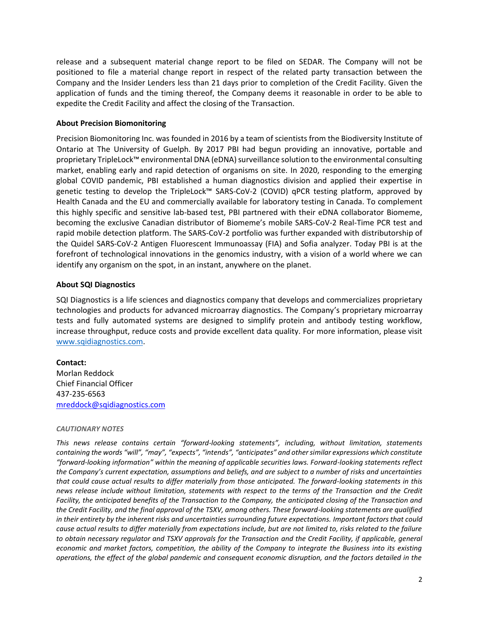release and a subsequent material change report to be filed on SEDAR. The Company will not be positioned to file a material change report in respect of the related party transaction between the Company and the Insider Lenders less than 21 days prior to completion of the Credit Facility. Given the application of funds and the timing thereof, the Company deems it reasonable in order to be able to expedite the Credit Facility and affect the closing of the Transaction.

## **About Precision Biomonitoring**

Precision Biomonitoring Inc. was founded in 2016 by a team of scientists from the Biodiversity Institute of Ontario at The University of Guelph. By 2017 PBI had begun providing an innovative, portable and proprietary TripleLock™ environmental DNA (eDNA) surveillance solution to the environmental consulting market, enabling early and rapid detection of organisms on site. In 2020, responding to the emerging global COVID pandemic, PBI established a human diagnostics division and applied their expertise in genetic testing to develop the TripleLock™ SARS-CoV-2 (COVID) qPCR testing platform, approved by Health Canada and the EU and commercially available for laboratory testing in Canada. To complement this highly specific and sensitive lab-based test, PBI partnered with their eDNA collaborator Biomeme, becoming the exclusive Canadian distributor of Biomeme's mobile SARS-CoV-2 Real-Time PCR test and rapid mobile detection platform. The SARS-CoV-2 portfolio was further expanded with distributorship of the Quidel SARS-CoV-2 Antigen Fluorescent Immunoassay (FIA) and Sofia analyzer. Today PBI is at the forefront of technological innovations in the genomics industry, with a vision of a world where we can identify any organism on the spot, in an instant, anywhere on the planet.

## **About SQI Diagnostics**

SQI Diagnostics is a life sciences and diagnostics company that develops and commercializes proprietary technologies and products for advanced microarray diagnostics. The Company's proprietary microarray tests and fully automated systems are designed to simplify protein and antibody testing workflow, increase throughput, reduce costs and provide excellent data quality. For more information, please visit [www.sqidiagnostics.com.](http://www.sqidiagnostics.com/)

**Contact:** Morlan Reddock Chief Financial Officer 437-235-6563 [mreddock@sqidiagnostics.com](mailto:mreddock@sqidiagnostics.com)

## *CAUTIONARY NOTES*

*This news release contains certain "forward-looking statements", including, without limitation, statements*  containing the words "will", "may", "expects", "intends", "anticipates" and other similar expressions which constitute *"forward-looking information" within the meaning of applicable securities laws. Forward-looking statements reflect the Company's current expectation, assumptions and beliefs, and are subject to a number of risks and uncertainties that could cause actual results to differ materially from those anticipated. The forward-looking statements in this news release include without limitation, statements with respect to the terms of the Transaction and the Credit Facility, the anticipated benefits of the Transaction to the Company, the anticipated closing of the Transaction and the Credit Facility, and the final approval of the TSXV, among others. These forward-looking statements are qualified in their entirety by the inherent risks and uncertainties surrounding future expectations. Important factors that could cause actual results to differ materially from expectations include, but are not limited to, risks related to the failure to obtain necessary regulator and TSXV approvals for the Transaction and the Credit Facility, if applicable, general economic and market factors, competition, the ability of the Company to integrate the Business into its existing operations, the effect of the global pandemic and consequent economic disruption, and the factors detailed in the*